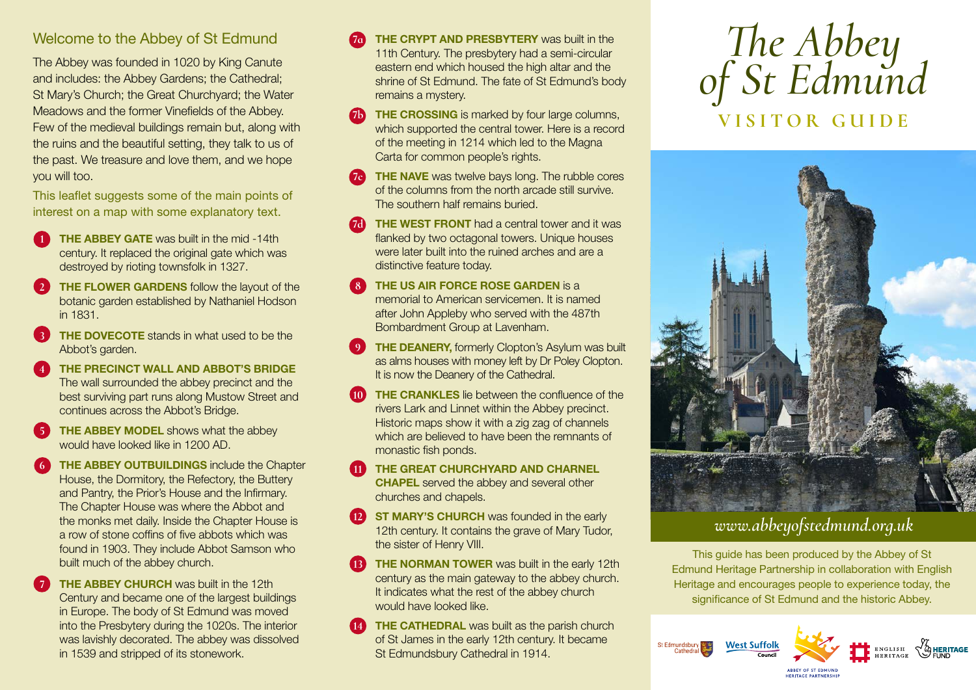## Welcome to the Abbey of St Edmund

The Abbey was founded in 1020 by King Canute and includes: the Abbey Gardens; the Cathedral; St Mary's Church; the Great Churchyard; the Water Meadows and the former Vinefields of the Abbey. Few of the medieval buildings remain but, along with the ruins and the beautiful setting, they talk to us of the past. We treasure and love them, and we hope you will too.

This leaflet suggests some of the main points of interest on a map with some explanatory text.

- **1** THE ABBEY GATE was built in the mid -14th century. It replaced the original gate which was destroyed by rioting townsfolk in 1327.
- **7HE FLOWER GARDENS** follow the layout of the botanic garden established by Nathaniel Hodson in 1831.
- **3 THE DOVECOTE** stands in what used to be the Abbot's garden.
- **4 THE PRECINCT WALL AND ABBOT'S BRIDGE**  The wall surrounded the abbey precinct and the best surviving part runs along Mustow Street and continues across the Abbot's Bridge.
- **THE ABBEY MODEL** shows what the abbey would have looked like in 1200 AD.
- **THE ABBEY OUTBUILDINGS** include the Chapter House, the Dormitory, the Refectory, the Buttery and Pantry, the Prior's House and the Infirmary. The Chapter House was where the Abbot and the monks met daily. Inside the Chapter House is a row of stone coffins of five abbots which was found in 1903. They include Abbot Samson who built much of the abbey church.
- **7 THE ABBEY CHURCH** was built in the 12th Century and became one of the largest buildings in Europe. The body of St Edmund was moved into the Presbytery during the 1020s. The interior was lavishly decorated. The abbey was dissolved in 1539 and stripped of its stonework.
- **7a THE CRYPT AND PRESBYTERY** was built in the 11th Century. The presbytery had a semi-circular eastern end which housed the high altar and the shrine of St Edmund. The fate of St Edmund's body remains a mystery.
- **THE CROSSING** is marked by four large columns, which supported the central tower. Here is a record of the meeting in 1214 which led to the Magna Carta for common people's rights.
- **THE NAVE** was twelve bays long. The rubble cores of the columns from the north arcade still survive. The southern half remains buried.
- **7d** THE WEST FRONT had a central tower and it was flanked by two octagonal towers. Unique houses were later built into the ruined arches and are a distinctive feature today.
- **THE US AIR FORCE ROSE GARDEN** is a memorial to American servicemen. It is named after John Appleby who served with the 487th Bombardment Group at Lavenham.
- **THE DEANERY, formerly Clopton's Asylum was built** as alms houses with money left by Dr Poley Clopton. It is now the Deanery of the Cathedral.
- **10 THE CRANKLES** lie between the confluence of the rivers Lark and Linnet within the Abbey precinct. Historic maps show it with a zig zag of channels which are believed to have been the remnants of monastic fish ponds.
- **11 THE GREAT CHURCHYARD AND CHARNEL CHAPEL** served the abbey and several other churches and chapels.
- **127 ST MARY'S CHURCH** was founded in the early 12th century. It contains the grave of Mary Tudor. the sister of Henry VIII.
- **THE NORMAN TOWER** was built in the early 12th century as the main gateway to the abbey church. It indicates what the rest of the abbey church would have looked like.
- **THE CATHEDRAL** was built as the parish church of St James in the early 12th century. It became St Edmundsbury Cathedral in 1914.

## *The Abbey of St Edmund* **VISITOR GUIDE**



## *www.abbeyofstedmund.org.uk*

This guide has been produced by the Abbey of St Edmund Heritage Partnership in collaboration with English Heritage and encourages people to experience today, the significance of St Edmund and the historic Abbey.





**JEDITACE BARTNERSHI**